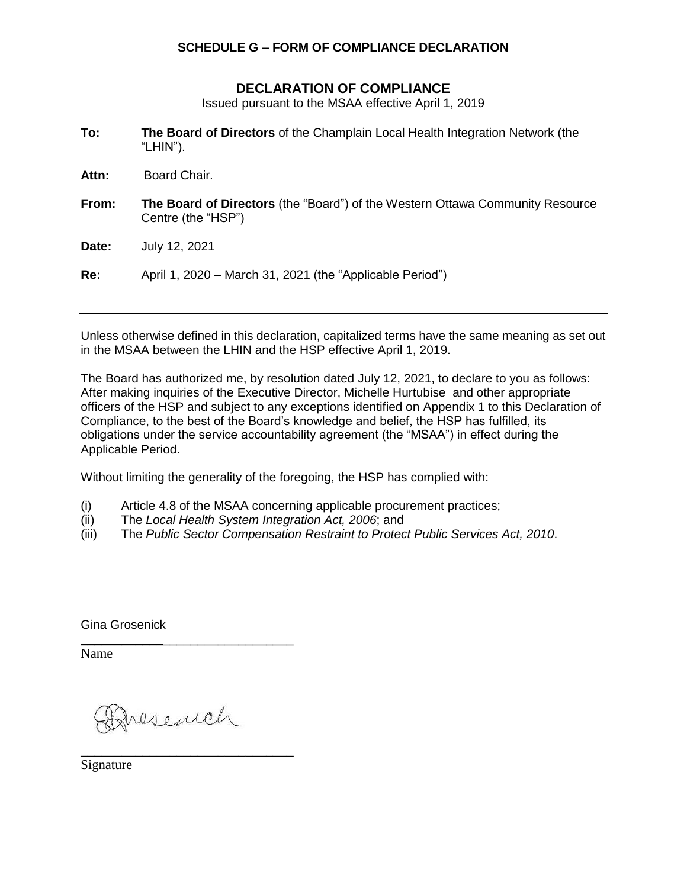## **SCHEDULE G – FORM OF COMPLIANCE DECLARATION**

## **DECLARATION OF COMPLIANCE**

Issued pursuant to the MSAA effective April 1, 2019

- **To: The Board of Directors** of the Champlain Local Health Integration Network (the "LHIN").
- **Attn:** Board Chair.
- **From: The Board of Directors** (the "Board") of the Western Ottawa Community Resource Centre (the "HSP")
- **Date:** July 12, 2021

**Re:** April 1, 2020 – March 31, 2021 (the "Applicable Period")

Unless otherwise defined in this declaration, capitalized terms have the same meaning as set out in the MSAA between the LHIN and the HSP effective April 1, 2019.

The Board has authorized me, by resolution dated July 12, 2021, to declare to you as follows: After making inquiries of the Executive Director, Michelle Hurtubise and other appropriate officers of the HSP and subject to any exceptions identified on Appendix 1 to this Declaration of Compliance, to the best of the Board's knowledge and belief, the HSP has fulfilled, its obligations under the service accountability agreement (the "MSAA") in effect during the Applicable Period.

Without limiting the generality of the foregoing, the HSP has complied with:

- (i) Article 4.8 of the MSAA concerning applicable procurement practices;
- (ii) The *Local Health System Integration Act, 2006*; and
- (iii) The *Public Sector Compensation Restraint to Protect Public Services Act, 2010*.

Gina Grosenick

Name

Iresench

\_\_\_\_\_\_\_\_\_\_\_\_\_\_\_\_\_\_\_\_\_\_\_\_\_\_\_\_\_\_\_

\_\_\_\_\_\_\_\_\_\_\_\_\_\_\_\_\_\_\_\_\_\_\_\_\_\_\_\_\_\_\_

Signature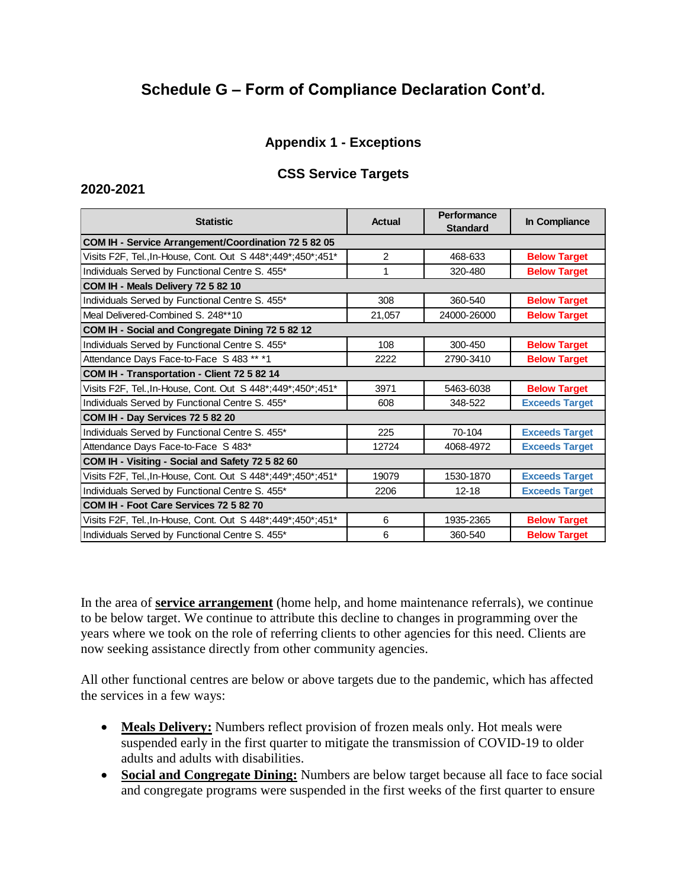# **Schedule G – Form of Compliance Declaration Cont'd.**

## **Appendix 1 - Exceptions**

## **CSS Service Targets**

#### **2020-2021**

| <b>Statistic</b>                                               | Actual         | Performance<br><b>Standard</b> | In Compliance         |
|----------------------------------------------------------------|----------------|--------------------------------|-----------------------|
| COM IH - Service Arrangement/Coordination 72 5 82 05           |                |                                |                       |
| Visits F2F, Tel., In-House, Cont. Out S 448*; 449*; 450*; 451* | $\overline{2}$ | 468-633                        | <b>Below Target</b>   |
| Individuals Served by Functional Centre S. 455*                | 1              | 320-480                        | <b>Below Target</b>   |
| COM IH - Meals Delivery 72 5 82 10                             |                |                                |                       |
| Individuals Served by Functional Centre S. 455*                | 308            | 360-540                        | <b>Below Target</b>   |
| Meal Delivered-Combined S. 248**10                             | 21,057         | 24000-26000                    | <b>Below Target</b>   |
| COM IH - Social and Congregate Dining 72 5 82 12               |                |                                |                       |
| Individuals Served by Functional Centre S. 455*                | 108            | 300-450                        | <b>Below Target</b>   |
| Attendance Days Face-to-Face S 483 ** *1                       | 2222           | 2790-3410                      | <b>Below Target</b>   |
| COM IH - Transportation - Client 72 5 82 14                    |                |                                |                       |
| Visits F2F, Tel., In-House, Cont. Out S 448*; 449*; 450*; 451* | 3971           | 5463-6038                      | <b>Below Target</b>   |
| Individuals Served by Functional Centre S. 455*                | 608            | 348-522                        | <b>Exceeds Target</b> |
| COM IH - Day Services 72 5 82 20                               |                |                                |                       |
| Individuals Served by Functional Centre S. 455*                | 225            | $70-104$                       | <b>Exceeds Target</b> |
| Attendance Days Face-to-Face S 483*                            | 12724          | 4068-4972                      | <b>Exceeds Target</b> |
| COM IH - Visiting - Social and Safety 72 5 82 60               |                |                                |                       |
| Visits F2F, Tel., In-House, Cont. Out S 448*; 449*; 450*; 451* | 19079          | 1530-1870                      | <b>Exceeds Target</b> |
| Individuals Served by Functional Centre S. 455*                | 2206           | $12 - 18$                      | <b>Exceeds Target</b> |
| COM IH - Foot Care Services 72 5 82 70                         |                |                                |                       |
| Visits F2F, Tel., In-House, Cont. Out S 448*; 449*; 450*; 451* | 6              | 1935-2365                      | <b>Below Target</b>   |
| Individuals Served by Functional Centre S. 455*                | 6              | 360-540                        | <b>Below Target</b>   |

In the area of **service arrangement** (home help, and home maintenance referrals), we continue to be below target. We continue to attribute this decline to changes in programming over the years where we took on the role of referring clients to other agencies for this need. Clients are now seeking assistance directly from other community agencies.

All other functional centres are below or above targets due to the pandemic, which has affected the services in a few ways:

- Meals Delivery: Numbers reflect provision of frozen meals only. Hot meals were suspended early in the first quarter to mitigate the transmission of COVID-19 to older adults and adults with disabilities.
- **Social and Congregate Dining:** Numbers are below target because all face to face social and congregate programs were suspended in the first weeks of the first quarter to ensure